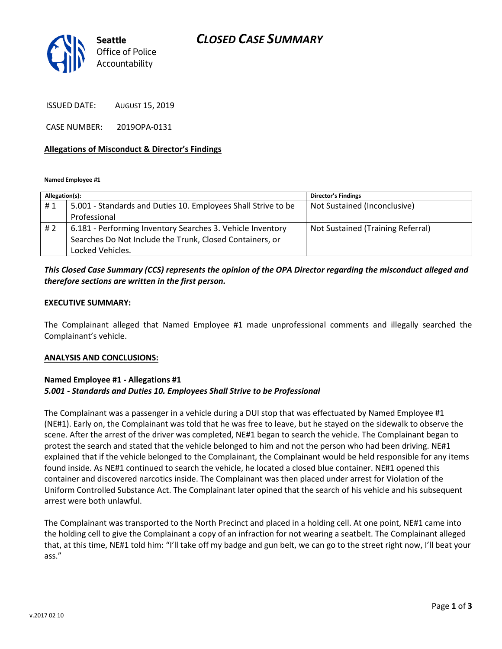## *CLOSED CASE SUMMARY*



ISSUED DATE: AUGUST 15, 2019

CASE NUMBER: 2019OPA-0131

#### **Allegations of Misconduct & Director's Findings**

**Named Employee #1**

| Allegation(s): |                                                               | <b>Director's Findings</b>        |
|----------------|---------------------------------------------------------------|-----------------------------------|
| #1             | 5.001 - Standards and Duties 10. Employees Shall Strive to be | Not Sustained (Inconclusive)      |
|                | Professional                                                  |                                   |
| #2             | 6.181 - Performing Inventory Searches 3. Vehicle Inventory    | Not Sustained (Training Referral) |
|                | Searches Do Not Include the Trunk, Closed Containers, or      |                                   |
|                | Locked Vehicles.                                              |                                   |

### *This Closed Case Summary (CCS) represents the opinion of the OPA Director regarding the misconduct alleged and therefore sections are written in the first person.*

#### **EXECUTIVE SUMMARY:**

The Complainant alleged that Named Employee #1 made unprofessional comments and illegally searched the Complainant's vehicle.

#### **ANALYSIS AND CONCLUSIONS:**

### **Named Employee #1 - Allegations #1** *5.001 - Standards and Duties 10. Employees Shall Strive to be Professional*

The Complainant was a passenger in a vehicle during a DUI stop that was effectuated by Named Employee #1 (NE#1). Early on, the Complainant was told that he was free to leave, but he stayed on the sidewalk to observe the scene. After the arrest of the driver was completed, NE#1 began to search the vehicle. The Complainant began to protest the search and stated that the vehicle belonged to him and not the person who had been driving. NE#1 explained that if the vehicle belonged to the Complainant, the Complainant would be held responsible for any items found inside. As NE#1 continued to search the vehicle, he located a closed blue container. NE#1 opened this container and discovered narcotics inside. The Complainant was then placed under arrest for Violation of the Uniform Controlled Substance Act. The Complainant later opined that the search of his vehicle and his subsequent arrest were both unlawful.

The Complainant was transported to the North Precinct and placed in a holding cell. At one point, NE#1 came into the holding cell to give the Complainant a copy of an infraction for not wearing a seatbelt. The Complainant alleged that, at this time, NE#1 told him: "I'll take off my badge and gun belt, we can go to the street right now, I'll beat your ass."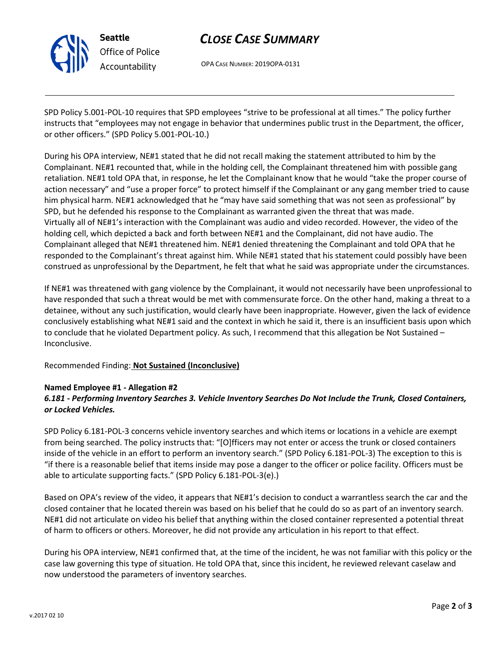

## *CLOSE CASE SUMMARY*

OPA CASE NUMBER: 2019OPA-0131

SPD Policy 5.001-POL-10 requires that SPD employees "strive to be professional at all times." The policy further instructs that "employees may not engage in behavior that undermines public trust in the Department, the officer, or other officers." (SPD Policy 5.001-POL-10.)

During his OPA interview, NE#1 stated that he did not recall making the statement attributed to him by the Complainant. NE#1 recounted that, while in the holding cell, the Complainant threatened him with possible gang retaliation. NE#1 told OPA that, in response, he let the Complainant know that he would "take the proper course of action necessary" and "use a proper force" to protect himself if the Complainant or any gang member tried to cause him physical harm. NE#1 acknowledged that he "may have said something that was not seen as professional" by SPD, but he defended his response to the Complainant as warranted given the threat that was made. Virtually all of NE#1's interaction with the Complainant was audio and video recorded. However, the video of the holding cell, which depicted a back and forth between NE#1 and the Complainant, did not have audio. The Complainant alleged that NE#1 threatened him. NE#1 denied threatening the Complainant and told OPA that he responded to the Complainant's threat against him. While NE#1 stated that his statement could possibly have been construed as unprofessional by the Department, he felt that what he said was appropriate under the circumstances.

If NE#1 was threatened with gang violence by the Complainant, it would not necessarily have been unprofessional to have responded that such a threat would be met with commensurate force. On the other hand, making a threat to a detainee, without any such justification, would clearly have been inappropriate. However, given the lack of evidence conclusively establishing what NE#1 said and the context in which he said it, there is an insufficient basis upon which to conclude that he violated Department policy. As such, I recommend that this allegation be Not Sustained – Inconclusive.

### Recommended Finding: **Not Sustained (Inconclusive)**

### **Named Employee #1 - Allegation #2**

## *6.181 - Performing Inventory Searches 3. Vehicle Inventory Searches Do Not Include the Trunk, Closed Containers, or Locked Vehicles.*

SPD Policy 6.181-POL-3 concerns vehicle inventory searches and which items or locations in a vehicle are exempt from being searched. The policy instructs that: "[O]fficers may not enter or access the trunk or closed containers inside of the vehicle in an effort to perform an inventory search." (SPD Policy 6.181-POL-3) The exception to this is "if there is a reasonable belief that items inside may pose a danger to the officer or police facility. Officers must be able to articulate supporting facts." (SPD Policy 6.181-POL-3(e).)

Based on OPA's review of the video, it appears that NE#1's decision to conduct a warrantless search the car and the closed container that he located therein was based on his belief that he could do so as part of an inventory search. NE#1 did not articulate on video his belief that anything within the closed container represented a potential threat of harm to officers or others. Moreover, he did not provide any articulation in his report to that effect.

During his OPA interview, NE#1 confirmed that, at the time of the incident, he was not familiar with this policy or the case law governing this type of situation. He told OPA that, since this incident, he reviewed relevant caselaw and now understood the parameters of inventory searches.